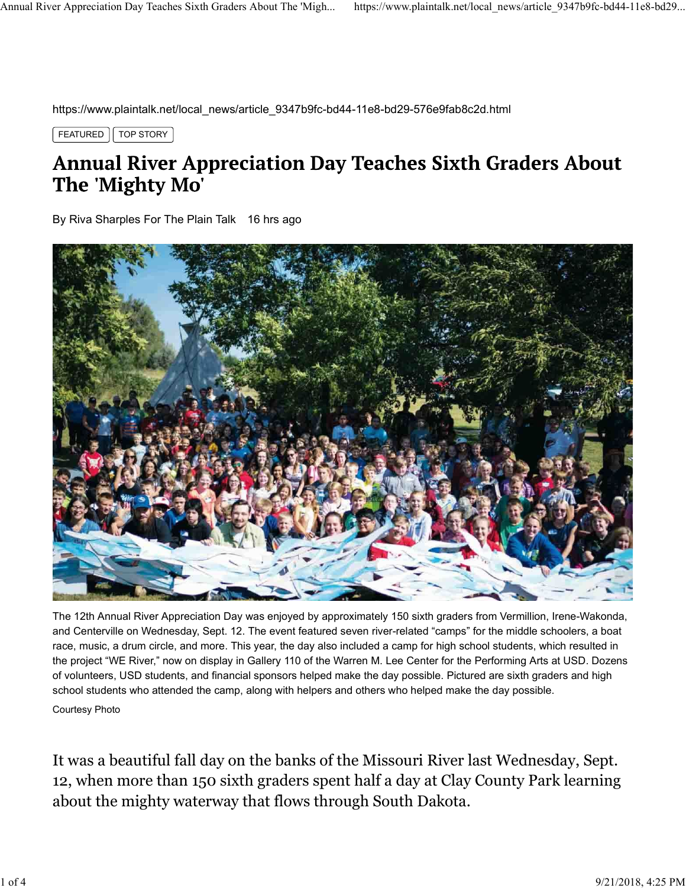https://www.plaintalk.net/local\_news/article\_9347b9fc-bd44-11e8-bd29-576e9fab8c2d.html

FEATURED  $\vert \vert$  TOP STORY



The 12th Annual River Appreciation Day was enjoyed by approximately 150 sixth graders from Vermillion, Irene-Wakonda, and Centerville on Wednesday, Sept. 12. The event featured seven river-related "camps" for the middle schoolers, a boat race, music, a drum circle, and more. This year, the day also included a camp for high school students, which resulted in the project "WE River," now on display in Gallery 110 of the Warren M. Lee Center for the Performing Arts at USD. Dozens of volunteers, USD students, and financial sponsors helped make the day possible. Pictured are sixth graders and high school students who attended the camp, along with helpers and others who helped make the day possible. Courtesy Photo

It was a beautiful fall day on the banks of the Missouri River last Wednesday, Sept. 12, when more than 150 sixth graders spent half a day at Clay County Park learning about the mighty waterway that flows through South Dakota.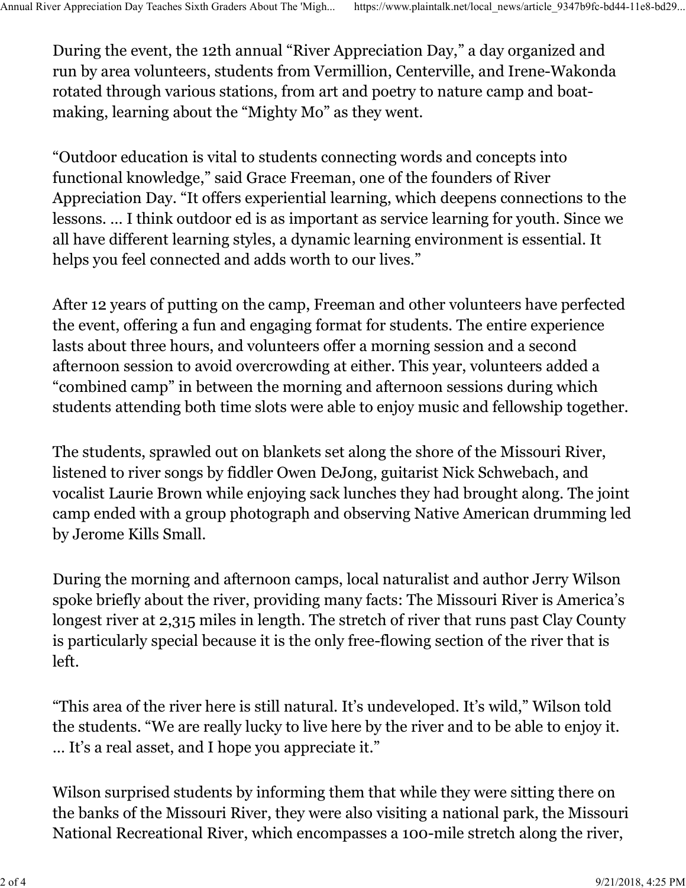During the event, the 12th annual "River Appreciation Day," a day organized and run by area volunteers, students from Vermillion, Centerville, and Irene-Wakonda rotated through various stations, from art and poetry to nature camp and boatmaking, learning about the "Mighty Mo" as they went. Annual River Appreciation Day Teaches Sixth Graders About The 'Migh... https://www.plaintalk.net/local\_news/article\_9347b9fc-bd44-11e8-bd29...<br>During the event, the 12th annual "River Appreciation Day," a day organized and

"Outdoor education is vital to students connecting words and concepts into functional knowledge," said Grace Freeman, one of the founders of River Appreciation Day. "It offers experiential learning, which deepens connections to the lessons. … I think outdoor ed is as important as service learning for youth. Since we all have different learning styles, a dynamic learning environment is essential. It helps you feel connected and adds worth to our lives."

After 12 years of putting on the camp, Freeman and other volunteers have perfected the event, offering a fun and engaging format for students. The entire experience lasts about three hours, and volunteers offer a morning session and a second afternoon session to avoid overcrowding at either. This year, volunteers added a "combined camp" in between the morning and afternoon sessions during which students attending both time slots were able to enjoy music and fellowship together.

The students, sprawled out on blankets set along the shore of the Missouri River, listened to river songs by fiddler Owen DeJong, guitarist Nick Schwebach, and vocalist Laurie Brown while enjoying sack lunches they had brought along. The joint camp ended with a group photograph and observing Native American drumming led by Jerome Kills Small.

During the morning and afternoon camps, local naturalist and author Jerry Wilson spoke briefly about the river, providing many facts: The Missouri River is America's longest river at 2,315 miles in length. The stretch of river that runs past Clay County is particularly special because it is the only free-flowing section of the river that is left.

"This area of the river here is still natural. It's undeveloped. It's wild," Wilson told the students. "We are really lucky to live here by the river and to be able to enjoy it. … It's a real asset, and I hope you appreciate it."

Wilson surprised students by informing them that while they were sitting there on the banks of the Missouri River, they were also visiting a national park, the Missouri National Recreational River, which encompasses a 100-mile stretch along the river,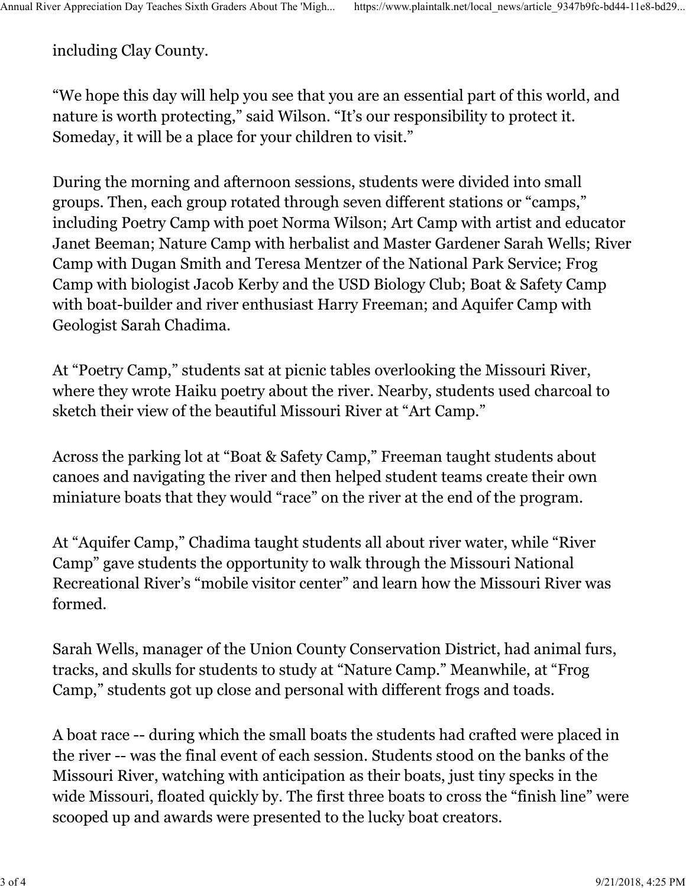including Clay County.

"We hope this day will help you see that you are an essential part of this world, and nature is worth protecting," said Wilson. "It's our responsibility to protect it. Someday, it will be a place for your children to visit."

During the morning and afternoon sessions, students were divided into small groups. Then, each group rotated through seven different stations or "camps," including Poetry Camp with poet Norma Wilson; Art Camp with artist and educator Janet Beeman; Nature Camp with herbalist and Master Gardener Sarah Wells; River Camp with Dugan Smith and Teresa Mentzer of the National Park Service; Frog Camp with biologist Jacob Kerby and the USD Biology Club; Boat & Safety Camp with boat-builder and river enthusiast Harry Freeman; and Aquifer Camp with Geologist Sarah Chadima.

At "Poetry Camp," students sat at picnic tables overlooking the Missouri River, where they wrote Haiku poetry about the river. Nearby, students used charcoal to sketch their view of the beautiful Missouri River at "Art Camp."

Across the parking lot at "Boat & Safety Camp," Freeman taught students about canoes and navigating the river and then helped student teams create their own miniature boats that they would "race" on the river at the end of the program.

At "Aquifer Camp," Chadima taught students all about river water, while "River Camp" gave students the opportunity to walk through the Missouri National Recreational River's "mobile visitor center" and learn how the Missouri River was formed.

Sarah Wells, manager of the Union County Conservation District, had animal furs, tracks, and skulls for students to study at "Nature Camp." Meanwhile, at "Frog Camp," students got up close and personal with different frogs and toads.

A boat race -- during which the small boats the students had crafted were placed in the river -- was the final event of each session. Students stood on the banks of the Missouri River, watching with anticipation as their boats, just tiny specks in the wide Missouri, floated quickly by. The first three boats to cross the "finish line" were scooped up and awards were presented to the lucky boat creators.